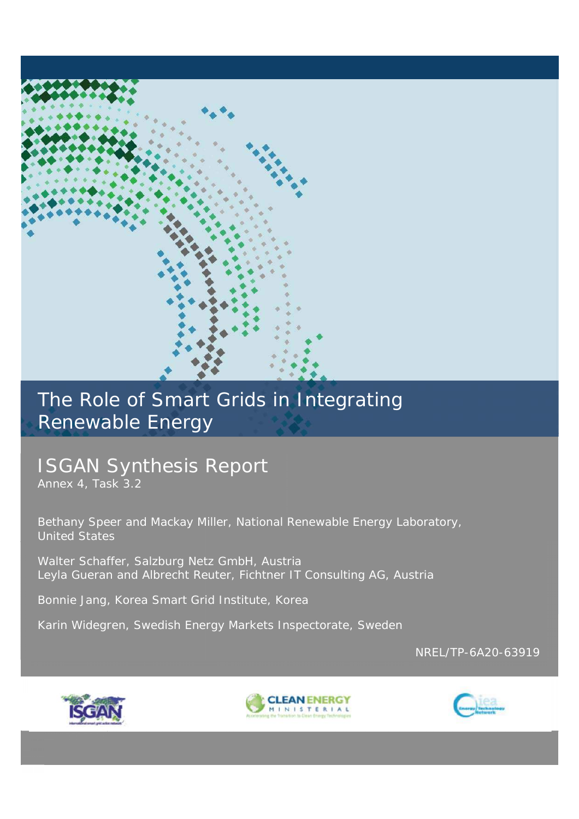# The Role of Smart Grids in Integrating Renewable Energy

# ISGAN Synthesis Report

Annex 4, Task 3.2

Bethany Speer and Mackay Miller, National Renewable Energy Laboratory, United States

Walter Schaffer, Salzburg Netz GmbH, Austria Leyla Gueran and Albrecht Reuter, Fichtner IT Consulting AG, Austria

Bonnie Jang, Korea Smart Grid Institute, Korea

Karin Widegren, Swedish Energy Markets Inspectorate, Sweden

NREL/TP-6A20-63919





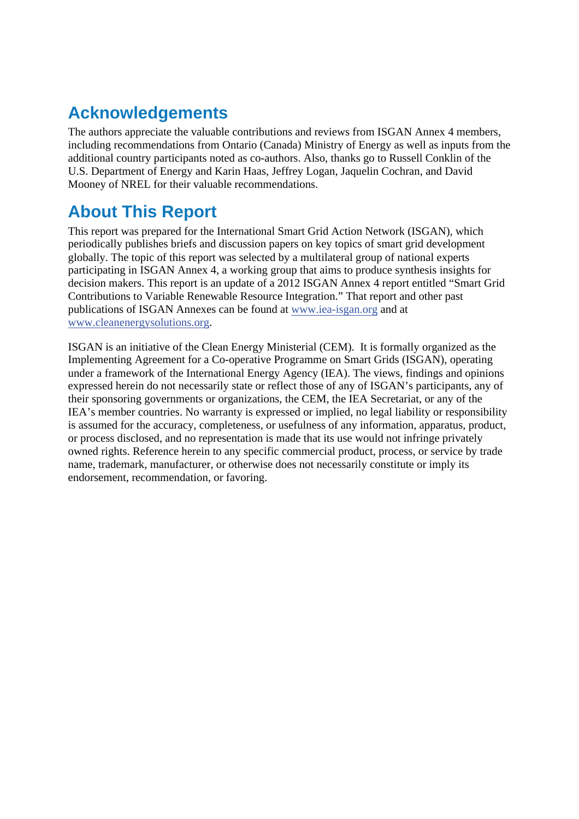## **Acknowledgements**

The authors appreciate the valuable contributions and reviews from ISGAN Annex 4 members, including recommendations from Ontario (Canada) Ministry of Energy as well as inputs from the additional country participants noted as co-authors. Also, thanks go to Russell Conklin of the U.S. Department of Energy and Karin Haas, Jeffrey Logan, Jaquelin Cochran, and David Mooney of NREL for their valuable recommendations.

## **About This Report**

This report was prepared for the International Smart Grid Action Network (ISGAN), which periodically publishes briefs and discussion papers on key topics of smart grid development globally. The topic of this report was selected by a multilateral group of national experts participating in ISGAN Annex 4, a working group that aims to produce synthesis insights for decision makers. This report is an update of a 2012 ISGAN Annex 4 report entitled "Smart Grid Contributions to Variable Renewable Resource Integration." That report and other past publications of ISGAN Annexes can be found at www.iea-isgan.org and at www.cleanenergysolutions.org.

ISGAN is an initiative of the Clean Energy Ministerial (CEM). It is formally organized as the Implementing Agreement for a Co-operative Programme on Smart Grids (ISGAN), operating under a framework of the International Energy Agency (IEA). The views, findings and opinions expressed herein do not necessarily state or reflect those of any of ISGAN's participants, any of their sponsoring governments or organizations, the CEM, the IEA Secretariat, or any of the IEA's member countries. No warranty is expressed or implied, no legal liability or responsibility is assumed for the accuracy, completeness, or usefulness of any information, apparatus, product, or process disclosed, and no representation is made that its use would not infringe privately owned rights. Reference herein to any specific commercial product, process, or service by trade name, trademark, manufacturer, or otherwise does not necessarily constitute or imply its endorsement, recommendation, or favoring.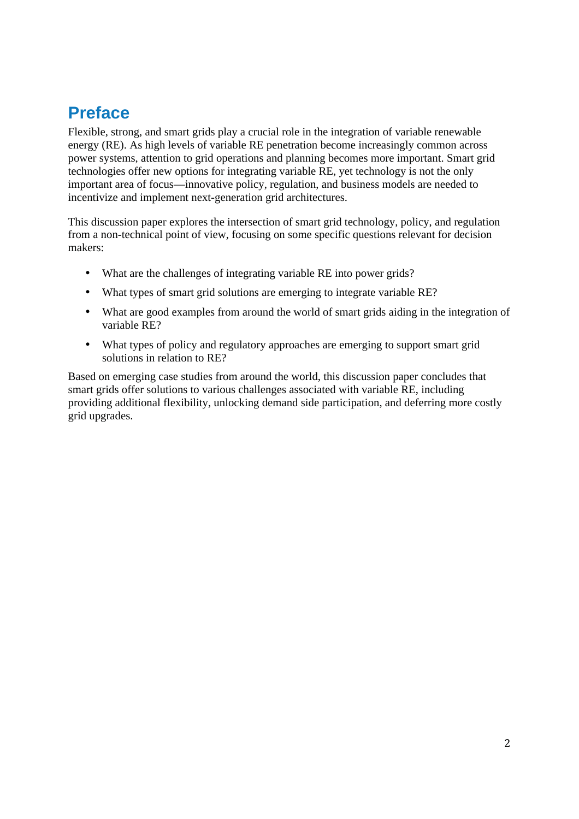## **Preface**

Flexible, strong, and smart grids play a crucial role in the integration of variable renewable energy (RE). As high levels of variable RE penetration become increasingly common across power systems, attention to grid operations and planning becomes more important. Smart grid technologies offer new options for integrating variable RE, yet technology is not the only important area of focus—innovative policy, regulation, and business models are needed to incentivize and implement next-generation grid architectures.

This discussion paper explores the intersection of smart grid technology, policy, and regulation from a non-technical point of view, focusing on some specific questions relevant for decision makers:

- What are the challenges of integrating variable RE into power grids?
- What types of smart grid solutions are emerging to integrate variable RE?
- What are good examples from around the world of smart grids aiding in the integration of variable RE?
- What types of policy and regulatory approaches are emerging to support smart grid solutions in relation to RE?

Based on emerging case studies from around the world, this discussion paper concludes that smart grids offer solutions to various challenges associated with variable RE, including providing additional flexibility, unlocking demand side participation, and deferring more costly grid upgrades.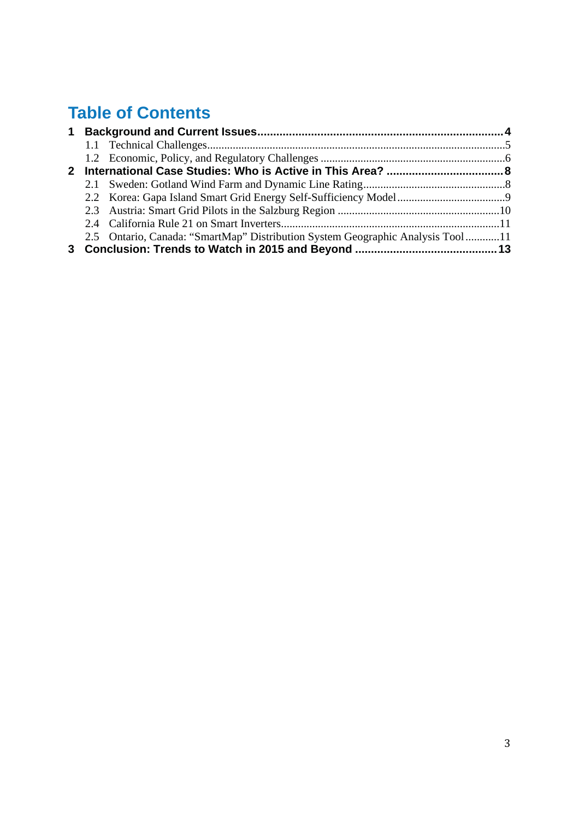## **Table of Contents**

|  | 2.5 Ontario, Canada: "SmartMap" Distribution System Geographic Analysis Tool11 |  |
|--|--------------------------------------------------------------------------------|--|
|  |                                                                                |  |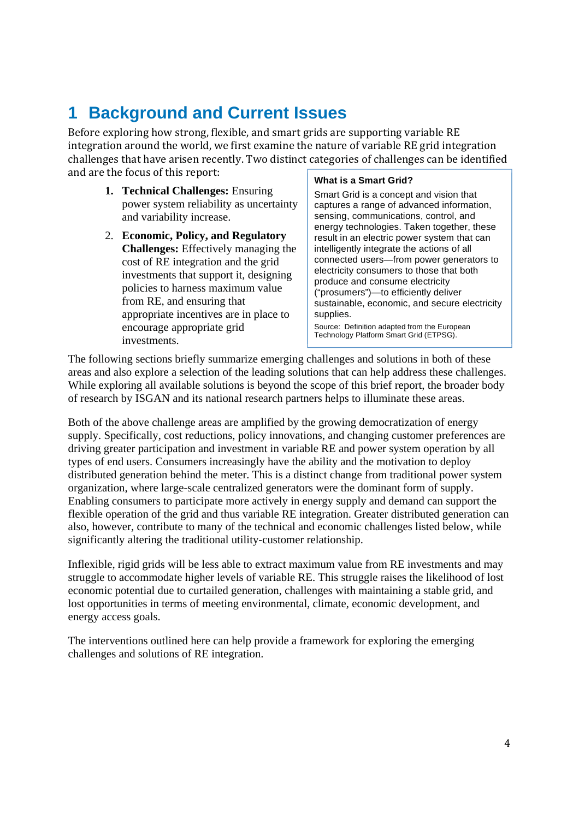## **1 Background and Current Issues**

Before exploring how strong, flexible, and smart grids are supporting variable RE integration around the world, we first examine the nature of variable RE grid integration challenges that have arisen recently. Two distinct categories of challenges can be identified and are the focus of this report:

- **1. Technical Challenges:** Ensuring power system reliability as uncertainty and variability increase.
- 2. **Economic, Policy, and Regulatory Challenges:** Effectively managing the cost of RE integration and the grid investments that support it, designing policies to harness maximum value from RE, and ensuring that appropriate incentives are in place to encourage appropriate grid investments.

#### **What is a Smart Grid?**

Smart Grid is a concept and vision that captures a range of advanced information, sensing, communications, control, and energy technologies. Taken together, these result in an electric power system that can intelligently integrate the actions of all connected users—from power generators to electricity consumers to those that both produce and consume electricity ("prosumers")—to efficiently deliver sustainable, economic, and secure electricity supplies.

Source: Definition adapted from the European Technology Platform Smart Grid (ETPSG).

The following sections briefly summarize emerging challenges and solutions in both of these areas and also explore a selection of the leading solutions that can help address these challenges. While exploring all available solutions is beyond the scope of this brief report, the broader body of research by ISGAN and its national research partners helps to illuminate these areas.

Both of the above challenge areas are amplified by the growing democratization of energy supply. Specifically, cost reductions, policy innovations, and changing customer preferences are driving greater participation and investment in variable RE and power system operation by all types of end users. Consumers increasingly have the ability and the motivation to deploy distributed generation behind the meter. This is a distinct change from traditional power system organization, where large-scale centralized generators were the dominant form of supply. Enabling consumers to participate more actively in energy supply and demand can support the flexible operation of the grid and thus variable RE integration. Greater distributed generation can also, however, contribute to many of the technical and economic challenges listed below, while significantly altering the traditional utility-customer relationship.

Inflexible, rigid grids will be less able to extract maximum value from RE investments and may struggle to accommodate higher levels of variable RE. This struggle raises the likelihood of lost economic potential due to curtailed generation, challenges with maintaining a stable grid, and lost opportunities in terms of meeting environmental, climate, economic development, and energy access goals.

The interventions outlined here can help provide a framework for exploring the emerging challenges and solutions of RE integration.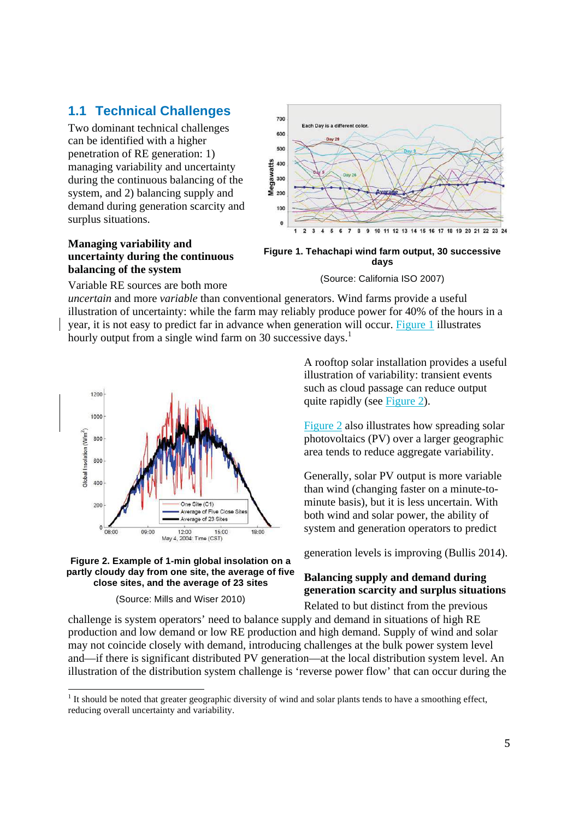### **1.1 Technical Challenges**

Two dominant technical challenges can be identified with a higher penetration of RE generation: 1) managing variability and uncertainty during the continuous balancing of the system, and 2) balancing supply and demand during generation scarcity and surplus situations.

#### **Managing variability and uncertainty during the continuous balancing of the system**



**Figure 1. Tehachapi wind farm output, 30 successive days** 

(Source: California ISO 2007)

Variable RE sources are both more

*uncertain* and more *variable* than conventional generators. Wind farms provide a useful illustration of uncertainty: while the farm may reliably produce power for 40% of the hours in a year, it is not easy to predict far in advance when generation will occur. Figure 1 illustrates hourly output from a single wind farm on 30 successive days.<sup>1</sup>





(Source: Mills and Wiser 2010)

A rooftop solar installation provides a useful illustration of variability: transient events such as cloud passage can reduce output quite rapidly (see Figure 2).

Figure 2 also illustrates how spreading solar photovoltaics (PV) over a larger geographic area tends to reduce aggregate variability.

Generally, solar PV output is more variable than wind (changing faster on a minute-tominute basis), but it is less uncertain. With both wind and solar power, the ability of system and generation operators to predict

generation levels is improving (Bullis 2014).

### **Balancing supply and demand during generation scarcity and surplus situations**

Related to but distinct from the previous challenge is system operators' need to balance supply and demand in situations of high RE production and low demand or low RE production and high demand. Supply of wind and solar may not coincide closely with demand, introducing challenges at the bulk power system level and—if there is significant distributed PV generation—at the local distribution system level. An illustration of the distribution system challenge is 'reverse power flow' that can occur during the

<sup>&</sup>lt;sup>1</sup> It should be noted that greater geographic diversity of wind and solar plants tends to have a smoothing effect, reducing overall uncertainty and variability.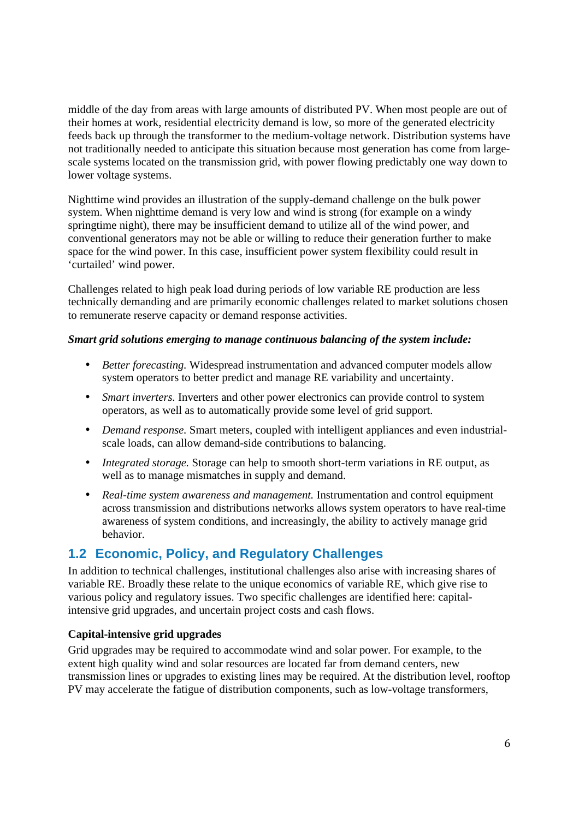middle of the day from areas with large amounts of distributed PV. When most people are out of their homes at work, residential electricity demand is low, so more of the generated electricity feeds back up through the transformer to the medium-voltage network. Distribution systems have not traditionally needed to anticipate this situation because most generation has come from largescale systems located on the transmission grid, with power flowing predictably one way down to lower voltage systems.

Nighttime wind provides an illustration of the supply-demand challenge on the bulk power system. When nighttime demand is very low and wind is strong (for example on a windy springtime night), there may be insufficient demand to utilize all of the wind power, and conventional generators may not be able or willing to reduce their generation further to make space for the wind power. In this case, insufficient power system flexibility could result in 'curtailed' wind power.

Challenges related to high peak load during periods of low variable RE production are less technically demanding and are primarily economic challenges related to market solutions chosen to remunerate reserve capacity or demand response activities.

#### *Smart grid solutions emerging to manage continuous balancing of the system include:*

- *Better forecasting.* Widespread instrumentation and advanced computer models allow system operators to better predict and manage RE variability and uncertainty.
- *Smart inverters*. Inverters and other power electronics can provide control to system operators, as well as to automatically provide some level of grid support.
- *Demand response.* Smart meters, coupled with intelligent appliances and even industrialscale loads, can allow demand-side contributions to balancing.
- *Integrated storage.* Storage can help to smooth short-term variations in RE output, as well as to manage mismatches in supply and demand.
- *Real-time system awareness and management.* Instrumentation and control equipment across transmission and distributions networks allows system operators to have real-time awareness of system conditions, and increasingly, the ability to actively manage grid behavior.

### **1.2 Economic, Policy, and Regulatory Challenges**

In addition to technical challenges, institutional challenges also arise with increasing shares of variable RE. Broadly these relate to the unique economics of variable RE, which give rise to various policy and regulatory issues. Two specific challenges are identified here: capitalintensive grid upgrades, and uncertain project costs and cash flows.

#### **Capital-intensive grid upgrades**

Grid upgrades may be required to accommodate wind and solar power. For example, to the extent high quality wind and solar resources are located far from demand centers, new transmission lines or upgrades to existing lines may be required. At the distribution level, rooftop PV may accelerate the fatigue of distribution components, such as low-voltage transformers,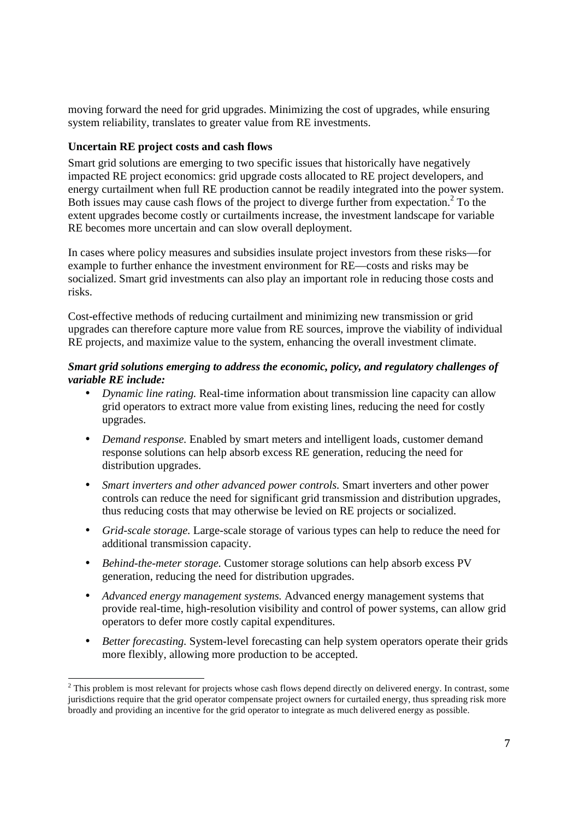moving forward the need for grid upgrades. Minimizing the cost of upgrades, while ensuring system reliability, translates to greater value from RE investments.

#### **Uncertain RE project costs and cash flows**

Smart grid solutions are emerging to two specific issues that historically have negatively impacted RE project economics: grid upgrade costs allocated to RE project developers, and energy curtailment when full RE production cannot be readily integrated into the power system. Both issues may cause cash flows of the project to diverge further from expectation.<sup>2</sup> To the extent upgrades become costly or curtailments increase, the investment landscape for variable RE becomes more uncertain and can slow overall deployment.

In cases where policy measures and subsidies insulate project investors from these risks—for example to further enhance the investment environment for RE—costs and risks may be socialized. Smart grid investments can also play an important role in reducing those costs and risks.

Cost-effective methods of reducing curtailment and minimizing new transmission or grid upgrades can therefore capture more value from RE sources, improve the viability of individual RE projects, and maximize value to the system, enhancing the overall investment climate.

#### *Smart grid solutions emerging to address the economic, policy, and regulatory challenges of variable RE include:*

- *Dynamic line rating.* Real-time information about transmission line capacity can allow grid operators to extract more value from existing lines, reducing the need for costly upgrades.
- *Demand response.* Enabled by smart meters and intelligent loads, customer demand response solutions can help absorb excess RE generation, reducing the need for distribution upgrades.
- *Smart inverters and other advanced power controls.* Smart inverters and other power controls can reduce the need for significant grid transmission and distribution upgrades, thus reducing costs that may otherwise be levied on RE projects or socialized.
- *Grid-scale storage.* Large-scale storage of various types can help to reduce the need for additional transmission capacity.
- *Behind-the-meter storage.* Customer storage solutions can help absorb excess PV generation, reducing the need for distribution upgrades.
- *Advanced energy management systems.* Advanced energy management systems that provide real-time, high-resolution visibility and control of power systems, can allow grid operators to defer more costly capital expenditures.
- *Better forecasting.* System-level forecasting can help system operators operate their grids more flexibly, allowing more production to be accepted.

 $2$  This problem is most relevant for projects whose cash flows depend directly on delivered energy. In contrast, some jurisdictions require that the grid operator compensate project owners for curtailed energy, thus spreading risk more broadly and providing an incentive for the grid operator to integrate as much delivered energy as possible.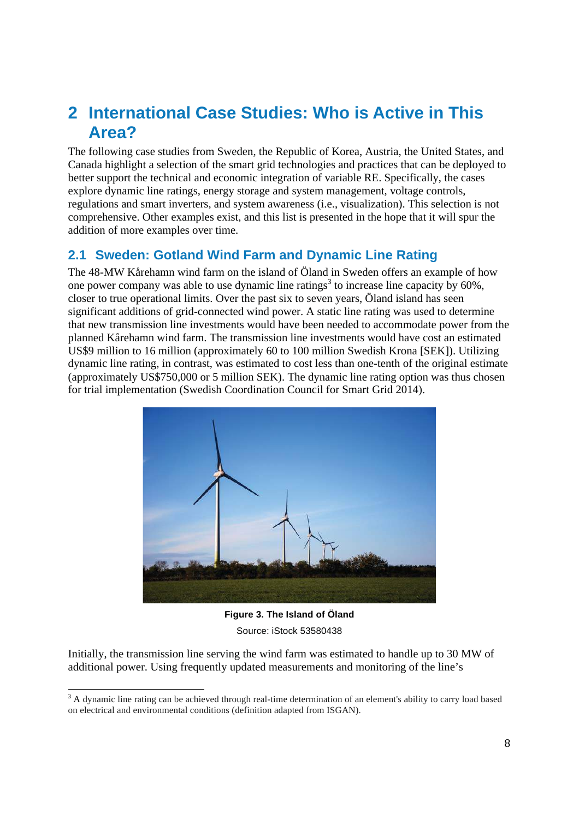## **2 International Case Studies: Who is Active in This Area?**

The following case studies from Sweden, the Republic of Korea, Austria, the United States, and Canada highlight a selection of the smart grid technologies and practices that can be deployed to better support the technical and economic integration of variable RE. Specifically, the cases explore dynamic line ratings, energy storage and system management, voltage controls, regulations and smart inverters, and system awareness (i.e., visualization). This selection is not comprehensive. Other examples exist, and this list is presented in the hope that it will spur the addition of more examples over time.

### **2.1 Sweden: Gotland Wind Farm and Dynamic Line Rating**

The 48-MW Kårehamn wind farm on the island of Öland in Sweden offers an example of how one power company was able to use dynamic line ratings<sup>3</sup> to increase line capacity by 60%, closer to true operational limits. Over the past six to seven years, Öland island has seen significant additions of grid-connected wind power. A static line rating was used to determine that new transmission line investments would have been needed to accommodate power from the planned Kårehamn wind farm. The transmission line investments would have cost an estimated US\$9 million to 16 million (approximately 60 to 100 million Swedish Krona [SEK]). Utilizing dynamic line rating, in contrast, was estimated to cost less than one-tenth of the original estimate (approximately US\$750,000 or 5 million SEK). The dynamic line rating option was thus chosen for trial implementation (Swedish Coordination Council for Smart Grid 2014).



**Figure 3. The Island of Öland**  Source: iStock 53580438

Initially, the transmission line serving the wind farm was estimated to handle up to 30 MW of additional power. Using frequently updated measurements and monitoring of the line's

 $3$  A dynamic line rating can be achieved through real-time determination of an element's ability to carry load based on electrical and environmental conditions (definition adapted from ISGAN).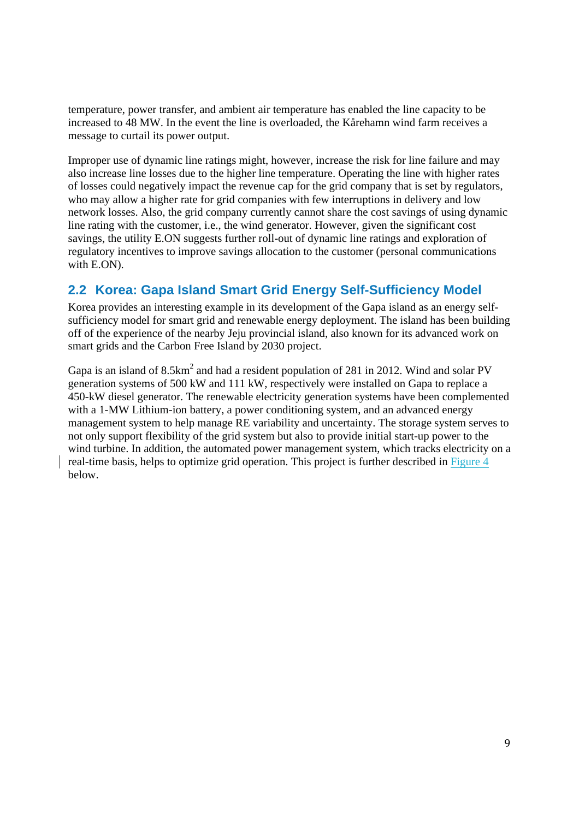temperature, power transfer, and ambient air temperature has enabled the line capacity to be increased to 48 MW. In the event the line is overloaded, the Kårehamn wind farm receives a message to curtail its power output.

Improper use of dynamic line ratings might, however, increase the risk for line failure and may also increase line losses due to the higher line temperature. Operating the line with higher rates of losses could negatively impact the revenue cap for the grid company that is set by regulators, who may allow a higher rate for grid companies with few interruptions in delivery and low network losses. Also, the grid company currently cannot share the cost savings of using dynamic line rating with the customer, i.e., the wind generator. However, given the significant cost savings, the utility E.ON suggests further roll-out of dynamic line ratings and exploration of regulatory incentives to improve savings allocation to the customer (personal communications with E.ON).

### **2.2 Korea: Gapa Island Smart Grid Energy Self-Sufficiency Model**

Korea provides an interesting example in its development of the Gapa island as an energy selfsufficiency model for smart grid and renewable energy deployment. The island has been building off of the experience of the nearby Jeju provincial island, also known for its advanced work on smart grids and the Carbon Free Island by 2030 project.

Gapa is an island of  $8.5 \text{km}^2$  and had a resident population of 281 in 2012. Wind and solar PV generation systems of 500 kW and 111 kW, respectively were installed on Gapa to replace a 450-kW diesel generator. The renewable electricity generation systems have been complemented with a 1-MW Lithium-ion battery, a power conditioning system, and an advanced energy management system to help manage RE variability and uncertainty. The storage system serves to not only support flexibility of the grid system but also to provide initial start-up power to the wind turbine. In addition, the automated power management system, which tracks electricity on a real-time basis, helps to optimize grid operation. This project is further described in Figure 4 below.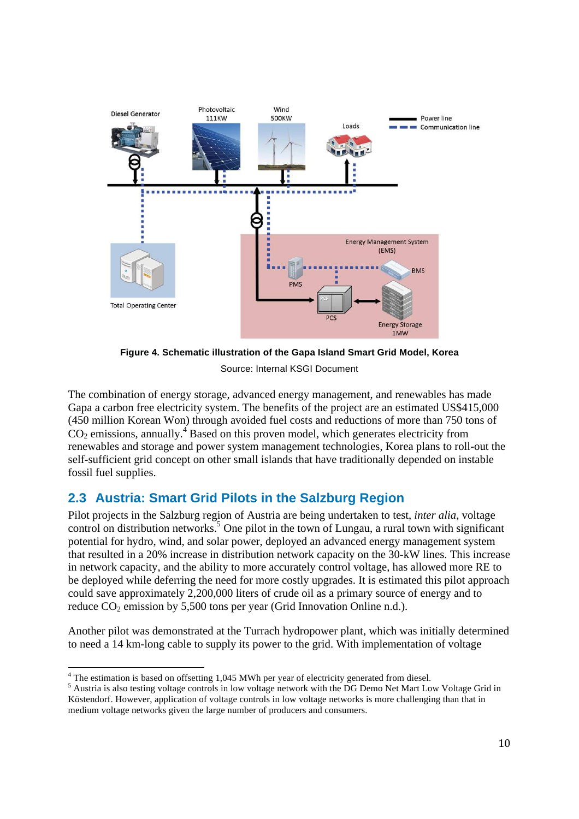

**Figure 4. Schematic illustration of the Gapa Island Smart Grid Model, Korea**  Source: Internal KSGI Document

The combination of energy storage, advanced energy management, and renewables has made Gapa a carbon free electricity system. The benefits of the project are an estimated US\$415,000 (450 million Korean Won) through avoided fuel costs and reductions of more than 750 tons of  $CO<sub>2</sub>$  emissions, annually.<sup>4</sup> Based on this proven model, which generates electricity from renewables and storage and power system management technologies, Korea plans to roll-out the self-sufficient grid concept on other small islands that have traditionally depended on instable fossil fuel supplies.

### **2.3 Austria: Smart Grid Pilots in the Salzburg Region**

Pilot projects in the Salzburg region of Austria are being undertaken to test, *inter alia*, voltage control on distribution networks.<sup>5</sup> One pilot in the town of Lungau, a rural town with significant potential for hydro, wind, and solar power, deployed an advanced energy management system that resulted in a 20% increase in distribution network capacity on the 30-kW lines. This increase in network capacity, and the ability to more accurately control voltage, has allowed more RE to be deployed while deferring the need for more costly upgrades. It is estimated this pilot approach could save approximately 2,200,000 liters of crude oil as a primary source of energy and to reduce  $CO_2$  emission by 5,500 tons per year (Grid Innovation Online n.d.).

Another pilot was demonstrated at the Turrach hydropower plant, which was initially determined to need a 14 km-long cable to supply its power to the grid. With implementation of voltage

<sup>4</sup> The estimation is based on offsetting 1,045 MWh per year of electricity generated from diesel.

<sup>&</sup>lt;sup>5</sup> Austria is also testing voltage controls in low voltage network with the DG Demo Net Mart Low Voltage Grid in Köstendorf. However, application of voltage controls in low voltage networks is more challenging than that in medium voltage networks given the large number of producers and consumers.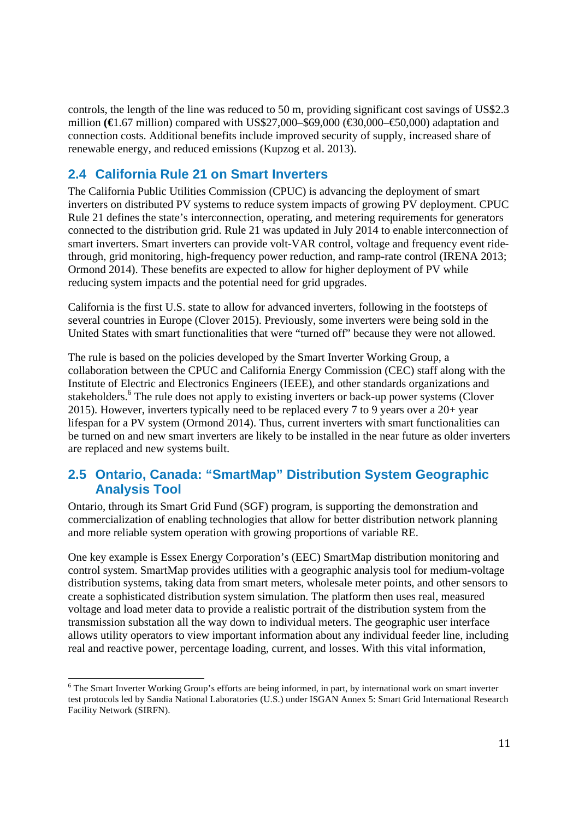controls, the length of the line was reduced to 50 m, providing significant cost savings of US\$2.3 million **(€**1.67 million) compared with US\$27,000–\$69,000 (€30,000–€50,000) adaptation and connection costs. Additional benefits include improved security of supply, increased share of renewable energy, and reduced emissions (Kupzog et al. 2013).

### **2.4 California Rule 21 on Smart Inverters**

The California Public Utilities Commission (CPUC) is advancing the deployment of smart inverters on distributed PV systems to reduce system impacts of growing PV deployment. CPUC Rule 21 defines the state's interconnection, operating, and metering requirements for generators connected to the distribution grid. Rule 21 was updated in July 2014 to enable interconnection of smart inverters. Smart inverters can provide volt-VAR control, voltage and frequency event ridethrough, grid monitoring, high-frequency power reduction, and ramp-rate control (IRENA 2013; Ormond 2014). These benefits are expected to allow for higher deployment of PV while reducing system impacts and the potential need for grid upgrades.

California is the first U.S. state to allow for advanced inverters, following in the footsteps of several countries in Europe (Clover 2015). Previously, some inverters were being sold in the United States with smart functionalities that were "turned off" because they were not allowed.

The rule is based on the policies developed by the Smart Inverter Working Group, a collaboration between the CPUC and California Energy Commission (CEC) staff along with the Institute of Electric and Electronics Engineers (IEEE), and other standards organizations and stakeholders.<sup>6</sup> The rule does not apply to existing inverters or back-up power systems (Clover 2015). However, inverters typically need to be replaced every 7 to 9 years over a 20+ year lifespan for a PV system (Ormond 2014). Thus, current inverters with smart functionalities can be turned on and new smart inverters are likely to be installed in the near future as older inverters are replaced and new systems built.

### **2.5 Ontario, Canada: "SmartMap" Distribution System Geographic Analysis Tool**

Ontario, through its Smart Grid Fund (SGF) program, is supporting the demonstration and commercialization of enabling technologies that allow for better distribution network planning and more reliable system operation with growing proportions of variable RE.

One key example is Essex Energy Corporation's (EEC) SmartMap distribution monitoring and control system. SmartMap provides utilities with a geographic analysis tool for medium-voltage distribution systems, taking data from smart meters, wholesale meter points, and other sensors to create a sophisticated distribution system simulation. The platform then uses real, measured voltage and load meter data to provide a realistic portrait of the distribution system from the transmission substation all the way down to individual meters. The geographic user interface allows utility operators to view important information about any individual feeder line, including real and reactive power, percentage loading, current, and losses. With this vital information,

<sup>&</sup>lt;sup>6</sup> The Smart Inverter Working Group's efforts are being informed, in part, by international work on smart inverter test protocols led by Sandia National Laboratories (U.S.) under ISGAN Annex 5: Smart Grid International Research Facility Network (SIRFN).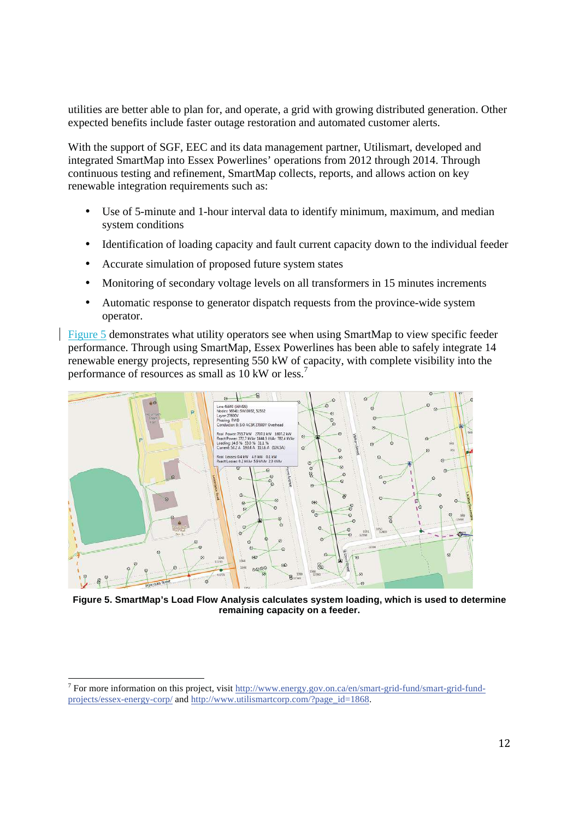utilities are better able to plan for, and operate, a grid with growing distributed generation. Other expected benefits include faster outage restoration and automated customer alerts.

With the support of SGF, EEC and its data management partner, Utilismart, developed and integrated SmartMap into Essex Powerlines' operations from 2012 through 2014. Through continuous testing and refinement, SmartMap collects, reports, and allows action on key renewable integration requirements such as:

- Use of 5-minute and 1-hour interval data to identify minimum, maximum, and median system conditions
- Identification of loading capacity and fault current capacity down to the individual feeder
- Accurate simulation of proposed future system states
- Monitoring of secondary voltage levels on all transformers in 15 minutes increments
- Automatic response to generator dispatch requests from the province-wide system operator.

Figure 5 demonstrates what utility operators see when using SmartMap to view specific feeder performance. Through using SmartMap, Essex Powerlines has been able to safely integrate 14 renewable energy projects, representing 550 kW of capacity, with complete visibility into the performance of resources as small as 10 kW or less.<sup>7</sup>



**Figure 5. SmartMap's Load Flow Analysis calculates system loading, which is used to determine remaining capacity on a feeder.** 

<sup>&</sup>lt;sup>7</sup> For more information on this project, visit http://www.energy.gov.on.ca/en/smart-grid-fund/smart-grid-fundprojects/essex-energy-corp/ and http://www.utilismartcorp.com/?page\_id=1868.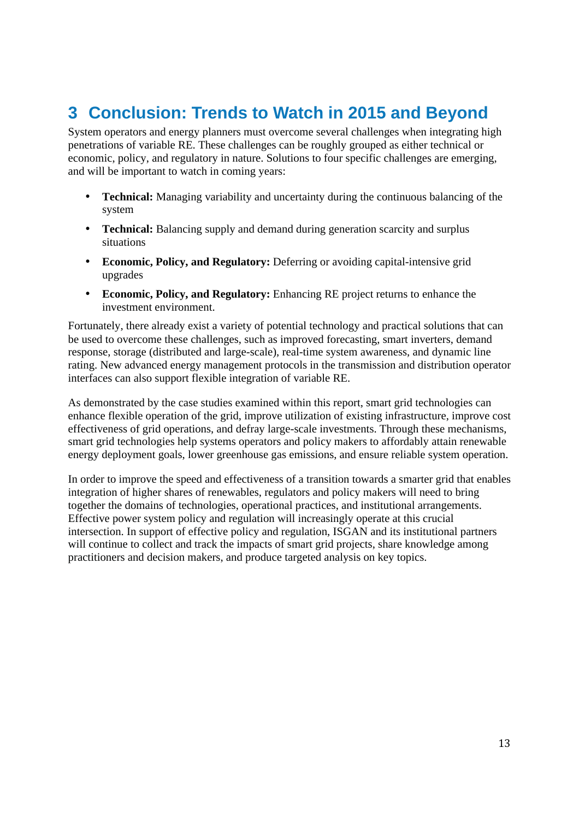## **3 Conclusion: Trends to Watch in 2015 and Beyond**

System operators and energy planners must overcome several challenges when integrating high penetrations of variable RE. These challenges can be roughly grouped as either technical or economic, policy, and regulatory in nature. Solutions to four specific challenges are emerging, and will be important to watch in coming years:

- **Technical:** Managing variability and uncertainty during the continuous balancing of the system
- **Technical:** Balancing supply and demand during generation scarcity and surplus situations
- **Economic, Policy, and Regulatory:** Deferring or avoiding capital-intensive grid upgrades
- **Economic, Policy, and Regulatory:** Enhancing RE project returns to enhance the investment environment.

Fortunately, there already exist a variety of potential technology and practical solutions that can be used to overcome these challenges, such as improved forecasting, smart inverters, demand response, storage (distributed and large-scale), real-time system awareness, and dynamic line rating. New advanced energy management protocols in the transmission and distribution operator interfaces can also support flexible integration of variable RE.

As demonstrated by the case studies examined within this report, smart grid technologies can enhance flexible operation of the grid, improve utilization of existing infrastructure, improve cost effectiveness of grid operations, and defray large-scale investments. Through these mechanisms, smart grid technologies help systems operators and policy makers to affordably attain renewable energy deployment goals, lower greenhouse gas emissions, and ensure reliable system operation.

In order to improve the speed and effectiveness of a transition towards a smarter grid that enables integration of higher shares of renewables, regulators and policy makers will need to bring together the domains of technologies, operational practices, and institutional arrangements. Effective power system policy and regulation will increasingly operate at this crucial intersection. In support of effective policy and regulation, ISGAN and its institutional partners will continue to collect and track the impacts of smart grid projects, share knowledge among practitioners and decision makers, and produce targeted analysis on key topics.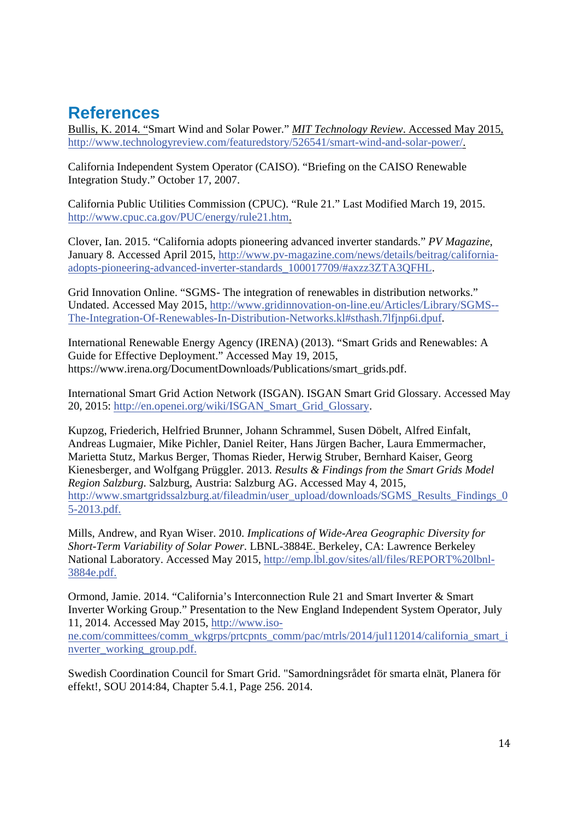## **References**

Bullis, K. 2014. "Smart Wind and Solar Power." *MIT Technology Review*. Accessed May 2015, http://www.technologyreview.com/featuredstory/526541/smart-wind-and-solar-power/.

California Independent System Operator (CAISO). "Briefing on the CAISO Renewable Integration Study." October 17, 2007.

California Public Utilities Commission (CPUC). "Rule 21." Last Modified March 19, 2015. http://www.cpuc.ca.gov/PUC/energy/rule21.htm.

Clover, Ian. 2015. "California adopts pioneering advanced inverter standards." *PV Magazine*, January 8. Accessed April 2015, http://www.pv-magazine.com/news/details/beitrag/californiaadopts-pioneering-advanced-inverter-standards\_100017709/#axzz3ZTA3QFHL.

Grid Innovation Online. "SGMS- The integration of renewables in distribution networks." Undated. Accessed May 2015, http://www.gridinnovation-on-line.eu/Articles/Library/SGMS-- The-Integration-Of-Renewables-In-Distribution-Networks.kl#sthash.7lfjnp6i.dpuf.

International Renewable Energy Agency (IRENA) (2013). "Smart Grids and Renewables: A Guide for Effective Deployment." Accessed May 19, 2015, https://www.irena.org/DocumentDownloads/Publications/smart\_grids.pdf.

International Smart Grid Action Network (ISGAN). ISGAN Smart Grid Glossary. Accessed May 20, 2015: http://en.openei.org/wiki/ISGAN\_Smart\_Grid\_Glossary.

Kupzog, Friederich, Helfried Brunner, Johann Schrammel, Susen Döbelt, Alfred Einfalt, Andreas Lugmaier, Mike Pichler, Daniel Reiter, Hans Jürgen Bacher, Laura Emmermacher, Marietta Stutz, Markus Berger, Thomas Rieder, Herwig Struber, Bernhard Kaiser, Georg Kienesberger, and Wolfgang Prüggler. 2013. *Results & Findings from the Smart Grids Model Region Salzburg*. Salzburg, Austria: Salzburg AG. Accessed May 4, 2015, http://www.smartgridssalzburg.at/fileadmin/user\_upload/downloads/SGMS\_Results\_Findings\_0 5-2013.pdf.

Mills, Andrew, and Ryan Wiser. 2010. *Implications of Wide-Area Geographic Diversity for Short-Term Variability of Solar Power*. LBNL-3884E. Berkeley, CA: Lawrence Berkeley National Laboratory. Accessed May 2015, http://emp.lbl.gov/sites/all/files/REPORT%20lbnl-3884e.pdf.

Ormond, Jamie. 2014. "California's Interconnection Rule 21 and Smart Inverter & Smart Inverter Working Group." Presentation to the New England Independent System Operator, July 11, 2014. Accessed May 2015, http://www.isone.com/committees/comm\_wkgrps/prtcpnts\_comm/pac/mtrls/2014/jul112014/california\_smart\_i nverter\_working\_group.pdf.

Swedish Coordination Council for Smart Grid. "Samordningsrådet för smarta elnät, Planera för effekt!, SOU 2014:84, Chapter 5.4.1, Page 256. 2014.